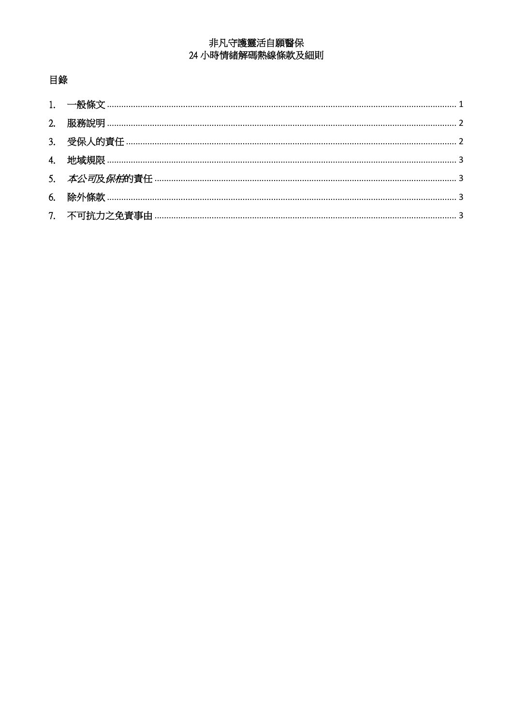# 非凡守護靈活自願醫保 24 小時情緒解碼熱線條款及細則

# 目錄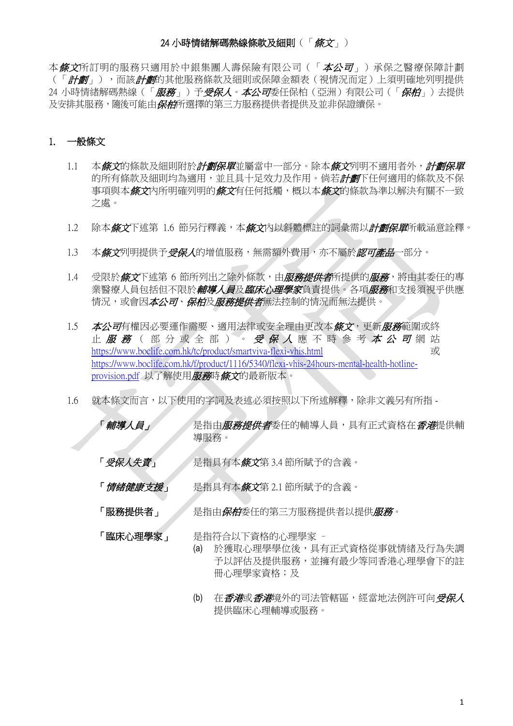### 24 小時情緒解碼熱線條款及細則(「 條文」)

本條文所訂明的服務只適用於中銀集團人壽保險有限公司(「本公司」)承保之醫療保障計劃 (「*計劃」*),而該*計劃*的其他服務條款及細則或保障金額表(視情況而定)上須明確地列明提供 24 小時情緒解碼熱線(「*服務」*)予*受保人*。*本公司*委任保柏(亞洲)有限公司(「*保柏」*)去提供 及安排其服務,隨後可能由*保柏*所選擇的第三方服務提供者提供及並非保證續保。

## <span id="page-1-0"></span>1. 一般條文

- 1.1 本*條文*的條款及細則附於*計劃保單*並屬當中一部分。除本*條文*列明不適用者外,*計劃保單* 的所有條款及細則均為適用,並且具十足效力及作用。倘若*計劃*下任何適用的條款及不保 事項與本*條文*內所明確列明的*條文*有任何抵觸,概以本*條文*的條款為準以解決有關不一致 之處。
- 1.2 除本*條文*下述第 1.6 節另行釋義,本*條文*內以斜體標註的詞彙需以*計劃保單*所載涵意詮釋。
- 1.3 本*條文*列明提供予*受保人*的增值服務,無需額外費用,亦不屬於*認可產品*一部分。
- 1.4 受限於*條文*下述第 6 節所列出之除外條款,由*服務提供者*所提供的*服務*,將由其委任的專 業醫療人員包括但不限於*輔導人員及臨床心理學家*負責提供。各項*服務*和支援須視乎供應 情況,或會因本公司、保柏及服務提供者無法控制的情況而無法提供。
- 1.5 本公*司*有權因必要運作需要、適用法律或安全理由更改本*條文*,更新*服務*範圍或終 止 服務(部分或全部)。受保入應不時參考本公司網站 https://www.boclife.com.hk/tc/product/smartviva-flexi-vhis.html 或 [https://www.boclife.com.hk/f/product/1116/5340/flexi-vhis-24hours-mental-health-hotline](https://www.boclife.com.hk/f/product/1116/5340/flexi-vhis-24hours-mental-health-hotline-provision.pdf)[provision.pdf](https://www.boclife.com.hk/f/product/1116/5340/flexi-vhis-24hours-mental-health-hotline-provision.pdf) 以了解使用服務時條文的最新版本。
- 1.6 就本條文而言,以下使用的字詞及表述必須按照以下所述解釋,除非文義另有所指 -
	- 「*輔導人員」 是指由服務提供者*委任的輔導人員,具有正式資格在*香港*提供輔 導服務。
	- 「*受保人失責」 人是指具有本條文*第3.4 節所賦予的含義。
	- 「 *情緒健康支援* 」 是指具有本*條文*第 2.1 節所賦予的含義。
	- 「**服務提供者」 ///**是指由*保柏*委任的第三方服務提供者以提供*服務*。

「臨床心理學家」 是指符合以下資格的心理學家 –

- (a) 於獲取心理學學位後,具有正式資格從事就情緒及行為失調 予以評估及提供服務,並擁有最少等同香港心理學會下的註 冊心理學家資格;及
- (b) 在*香港*或*香港*境外的司法管轄區,經當地法例許可向*受保人* 提供臨床心理輔導或服務。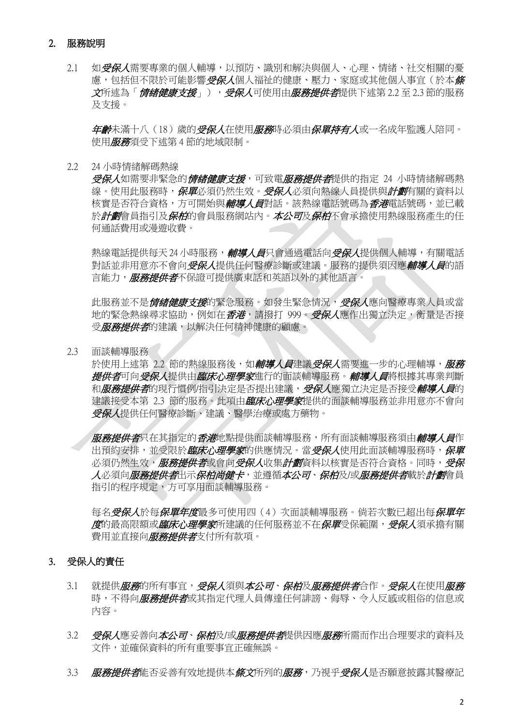### <span id="page-2-0"></span>2. 服務說明

2.1 如受保人需要專業的個人輔導,以預防、識別和解決與個人、心理、情緒、社交相關的憂 慮,包括但不限於可能影響*受保人*個人福祉的健康、壓力、家庭或其他個人事宜(於本*條* 文所述為「*情緒健康支援」),受保人*可使用由*服務提供者*提供下述第 2.2 至 2.3 節的服務 及支援。

年龄未滿十八(18)歲的*受保人*在使用*服務*時必須由*保單持有人*或一名成年監護人陪同。 使用服務須受下述第 4 節的地域限制。

2.2 24 小時情緒解碼熱線

*受保人***如需要非緊急的***情緒健康支援***,可致電***服務提供者***提供的指定 24 小時情緒解碼熱** 線。使用此服務時,*保單*必須仍然生效。*受保人*必須向熱線人員提供與*計劃*有關的資料以 核實是否符合資格,方可開始與*輔導人員*對話。該熱線電話號碼為*香港*電話號碼,並已載 於*計劃*會員指引及*保柏*的會員服務網站內。*本公司及保柏*不會承擔使用熱線服務產生的任 何通話費用或漫遊收費。

熱線電話提供每天 24 小時服務, 補導人員只會通過電話向受保人提供個人輔導, 有關電話 對話並非用意亦不會向*受保人*提供任何醫療診斷或建議。服務的提供須因應*輔導人員*的語 言能力, **服務提供者**不保證可提供廣東話和英語以外的其他語言。

此服務並不是*情緒健康支援*的緊急服務。如發生緊急情況,*受保人*應向醫療專業人員或當 地的緊急熱線尋求協助,例如在*香港*,請撥打 999。*受保人*應作出獨立決定,衡量是否接 受*服務提供者*的建議,以解決任何精神健康的顧慮。

2.3 面談輔導服務

於使用上述第 2.2 節的熱線服務後,如輔導人員建議受保人需要進一步的心理輔導,服務 *提供者***可向***受保人***提供由***臨床心理學家***進行的面談輔導服務。***輔導人員***將根據其專業判斷** 和*服務提供者*的現行慣例/指引決定是否提出建議, 受保人應獨立決定是否接受*輔導人員*的 建議接受本第 2.3 節的服務。此項由*臨床心理學家*提供的面談輔導服務並非用意亦不會向 受保人提供任何醫療診斷、建議、醫學治療或處方藥物。

服務提供者只在其指定的香港地點提供面談輔導服務,所有面談輔導服務須由*輔導人員*作 出預約安排,並受限於*臨床心理學家*的供應情況。當*受保人*使用此面談輔導服務時,*保單* 必須仍然生效,*服務提供者***或會向***受保人***收集***計劃***資料以核實是否符合資格。同時,***受保* 人必須向*服務提供者*出示*保柏尚健卡*,並遵循*本公司、保柏*及/或*服務提供者*載於計*劃*會員 指引的程序規定,方可享用面談輔導服務。

每名*受保人*於每*保單年度*最多可使用四(4)次面談輔導服務。倘若次數已超出每*保單年* 度的最高限額或*臨床心理學家*所建議的任何服務並不在*保單*受保範圍, 受保人須承擔有關 費用並直接向*服務提供者*支付所有款項。

### <span id="page-2-1"></span>3. 受保人的責任

- 3.1 就提供*服務*的所有事宜,*受保人*須與*本公司、保柏*及*服務提供者*合作。*受保人*在使用*服務* 時,不得向*服務提供者*或其指定代理人員傳達任何誹謗、侮辱、令人反感或粗俗的信息或 內容。
- 3.2 受保人應妥善向本公司、保柏及/或*服務提供者*提供因應*服務*所需而作出合理要求的資料及 文件,並確保資料的所有重要事宜正確無誤。
- 3.3 服務提供者能否妥善有效地提供本條文所列的服務, 乃視乎*受保人*是否願意披露其醫療記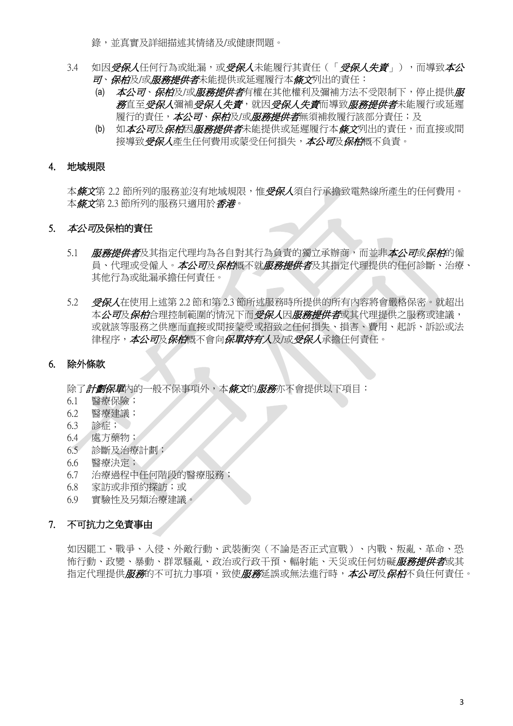錄,並真實及詳細描述其情緒及/或健康問題。

- 3.4 如因*受保人*任何行為或紕漏,或*受保人*未能履行其責任(「*受保人失責*」),而導致*本公* 司、保柏及/或服務提供者未能提供或延遲履行本條文列出的責任:
	- (a) 本公司、*保柏*及/或*服務提供者*有權在其他權利及彌補方法不受限制下,停止提供*服 務*直至*受保人*彌補*受保人失責、或人失責而導致服務提供者*未能履行或延遲 履行的責任,*本公司、保柏*及/或*服務提供者*無須補救履行該部分責任;及
	- (b) 如本公司及保柏因服務提供者未能提供或延遲履行本條文列出的責任,而直接或間 接導致受保人產生任何費用或蒙受任何損失,本公司及保柏概不負責。

### <span id="page-3-0"></span>4. 地域規限

本*條文*第 2.2 節所列的服務並沒有地域規限,惟*受保人*須自行承擔致電熱線所產生的任何費用。 本條文第 2.3 節所列的服務只適用於香港。

## <span id="page-3-1"></span>5. 本公司及保柏的責任

- 5.1 服務提供者及其指定代理均為各自對其行為負責的獨立承辦商,而並非本公*司*或*保柏*的僱 員、代理或受僱人。*本公司及保柏*概不就*服務提供者*及其指定代理提供的任何診斷、治療、 其他行為或紕漏承擔任何責任。
- 5.2 受保人在使用上述第 2.2 節和第 2.3 節所述服務時所提供的所有內容將會嚴格保密。就超出 本*公司及保柏*合理控制範圍的情況下而*受保人*因*服務提供者*或其代理提供之服務或建議, 或就該等服務之供應而直接或間接蒙受或招致之任何損失、損害、費用、起訴、訴訟或法 律程序, 本公司及保柏概不會向保單持有人及/或*受保人*承擔任何責任。

## <span id="page-3-2"></span>6. 除外條款

除了計劃保單內的一般不保事項外,本條文的服務亦不會提供以下項目:

- 6.1 醫療保險;
- 6.2 醫療建議;
- 6.3 診症;
- 6.4 處方藥物;
- 6.5 診斷及治療計劃;
- 6.6 醫療決定;
- 6.7 治療過程中任何階段的醫療服務;
- 6.8 家訪或非預約探訪;或
- 6.9 實驗性及另類治療建議。

## <span id="page-3-3"></span>7. 不可抗力之免責事由

如因罷工、戰爭、入侵、外敵行動、武裝衝突(不論是否正式宣戰)、內戰、叛亂、革命、恐 怖行動、政變、暴動、群眾騷亂、政治或行政干預、輻射能、天災或任何妨礙*服務提供者*或其 指定代理提供*服務*的不可抗力事項,致使*服務*延誤或無法進行時,*本公司*及*保柏*不負任何責任。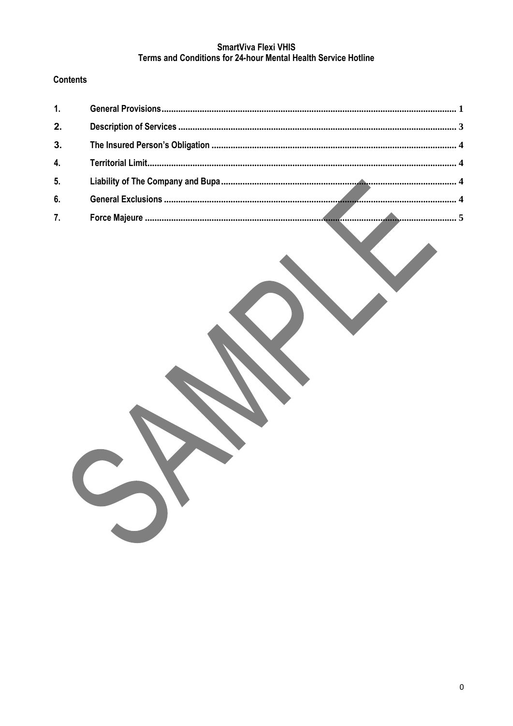## SmartViva Flexi VHIS Terms and Conditions for 24-hour Mental Health Service Hotline

## **Contents**

| 1. |  |
|----|--|
| 2. |  |
| 3. |  |
| 4. |  |
| 5. |  |
| 6. |  |
| 7. |  |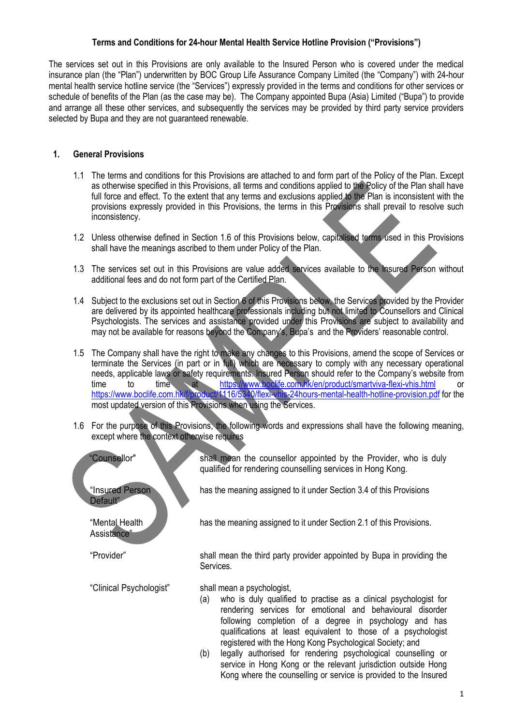#### **Terms and Conditions for 24-hour Mental Health Service Hotline Provision ("Provisions")**

The services set out in this Provisions are only available to the Insured Person who is covered under the medical insurance plan (the "Plan") underwritten by BOC Group Life Assurance Company Limited (the "Company") with 24-hour mental health service hotline service (the "Services") expressly provided in the terms and conditions for other services or schedule of benefits of the Plan (as the case may be). The Company appointed Bupa (Asia) Limited ("Bupa") to provide and arrange all these other services, and subsequently the services may be provided by third party service providers selected by Bupa and they are not guaranteed renewable.

#### <span id="page-5-0"></span>**1. General Provisions**

- 1.1 The terms and conditions for this Provisions are attached to and form part of the Policy of the Plan. Except as otherwise specified in this Provisions, all terms and conditions applied to the Policy of the Plan shall have full force and effect. To the extent that any terms and exclusions applied to the Plan is inconsistent with the provisions expressly provided in this Provisions, the terms in this Provisions shall prevail to resolve such inconsistency.
- 1.2 Unless otherwise defined in Section 1.6 of this Provisions below, capitalised terms used in this Provisions shall have the meanings ascribed to them under Policy of the Plan.
- 1.3 The services set out in this Provisions are value added services available to the Insured Person without additional fees and do not form part of the Certified Plan.
- 1.4 Subiect to the exclusions set out in Section 6 of this Provisions below, the Services provided by the Provider are delivered by its appointed healthcare professionals including but not limited to Counsellors and Clinical Psychologists. The services and assistance provided under this Provisions are subject to availability and may not be available for reasons beyond the Company's, Bupa's and the Providers' reasonable control.
- 1.5 The Company shall have the right to make any changes to this Provisions, amend the scope of Services or terminate the Services (in part or in full) which are necessary to comply with any necessary operational needs, applicable laws or safety requirements. Insured Person should refer to the Company's website from<br>time to the time at https://www.bockife.com.hk/en/product/smartviva-flexi-vhis.html or time to time at <https://www.boclife.com.hk/en/product/smartviva-flexi-vhis.html> or <https://www.boclife.com.hk/f/product/1116/5340/flexi-vhis-24hours-mental-health-hotline-provision.pdf> for the most updated version of this Provisions when using the Services.
- 1.6 For the purpose of this Provisions, the following words and expressions shall have the following meaning, except where the context otherwise requires

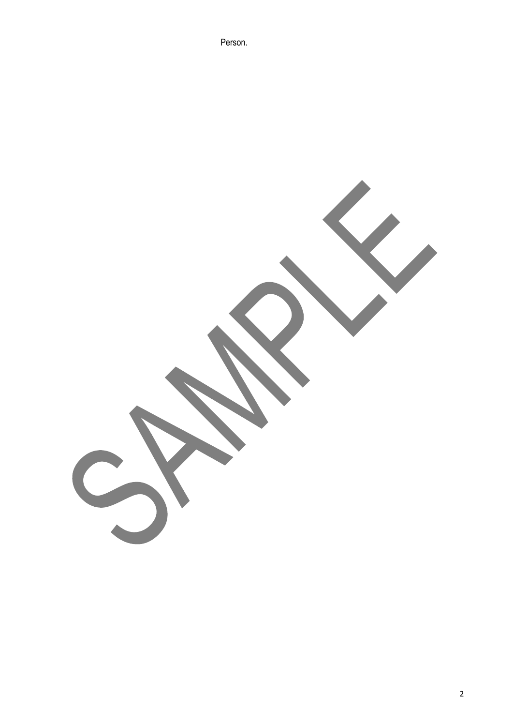Person.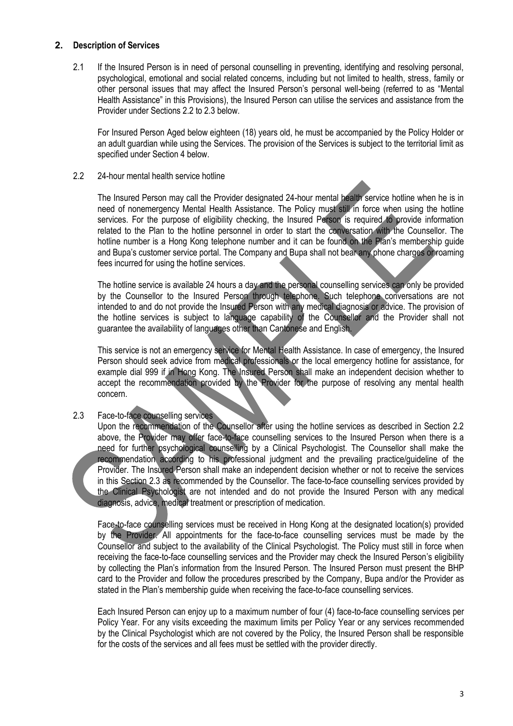#### <span id="page-7-0"></span>**2. Description of Services**

2.1 If the Insured Person is in need of personal counselling in preventing, identifying and resolving personal, psychological, emotional and social related concerns, including but not limited to health, stress, family or other personal issues that may affect the Insured Person's personal well-being (referred to as "Mental Health Assistance" in this Provisions), the Insured Person can utilise the services and assistance from the Provider under Sections 2.2 to 2.3 below.

For Insured Person Aged below eighteen (18) years old, he must be accompanied by the Policy Holder or an adult guardian while using the Services. The provision of the Services is subject to the territorial limit as specified under Section 4 below.

#### 2.2 24-hour mental health service hotline

The Insured Person may call the Provider designated 24-hour mental health service hotline when he is in need of nonemergency Mental Health Assistance. The Policy must still in force when using the hotline services. For the purpose of eligibility checking, the Insured Person is required to provide information related to the Plan to the hotline personnel in order to start the conversation with the Counsellor. The hotline number is a Hong Kong telephone number and it can be found on the Plan's membership quide and Bupa's customer service portal. The Company and Bupa shall not bear any phone charges or roaming fees incurred for using the hotline services.

The hotline service is available 24 hours a day and the personal counselling services can only be provided by the Counsellor to the Insured Person through telephone. Such telephone conversations are not intended to and do not provide the Insured Person with any medical diagnosis or advice. The provision of the hotline services is subject to language capability of the Counsellor and the Provider shall not guarantee the availability of languages other than Cantonese and English.

This service is not an emergency service for Mental Health Assistance. In case of emergency, the Insured Person should seek advice from medical professionals or the local emergency hotline for assistance, for example dial 999 if in Hong Kong. The Insured Person shall make an independent decision whether to accept the recommendation provided by the Provider for the purpose of resolving any mental health concern.

### 2.3 Face-to-face counselling services

Upon the recommendation of the Counsellor after using the hotline services as described in Section 2.2 above, the Provider may offer face-to-face counselling services to the Insured Person when there is a need for further psychological counselling by a Clinical Psychologist. The Counsellor shall make the recommendation according to his professional judgment and the prevailing practice/guideline of the Provider. The Insured Person shall make an independent decision whether or not to receive the services in this Section 2.3 as recommended by the Counsellor. The face-to-face counselling services provided by the Clinical Psychologist are not intended and do not provide the Insured Person with any medical diagnosis, advice, medical treatment or prescription of medication.

Face-to-face counselling services must be received in Hong Kong at the designated location(s) provided by the Provider. All appointments for the face-to-face counselling services must be made by the Counsellor and subject to the availability of the Clinical Psychologist. The Policy must still in force when receiving the face-to-face counselling services and the Provider may check the Insured Person's eligibility by collecting the Plan's information from the Insured Person. The Insured Person must present the BHP card to the Provider and follow the procedures prescribed by the Company, Bupa and/or the Provider as stated in the Plan's membership guide when receiving the face-to-face counselling services.

Each Insured Person can enjoy up to a maximum number of four (4) face-to-face counselling services per Policy Year. For any visits exceeding the maximum limits per Policy Year or any services recommended by the Clinical Psychologist which are not covered by the Policy, the Insured Person shall be responsible for the costs of the services and all fees must be settled with the provider directly.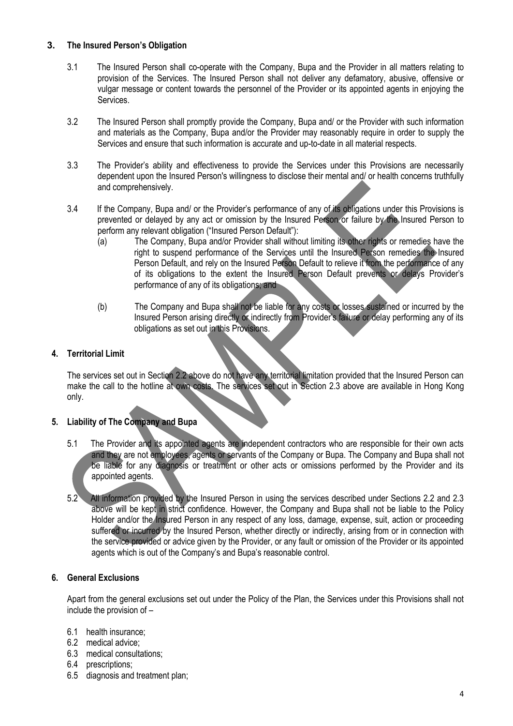### <span id="page-8-0"></span>**3. The Insured Person's Obligation**

- 3.1 The Insured Person shall co-operate with the Company, Bupa and the Provider in all matters relating to provision of the Services. The Insured Person shall not deliver any defamatory, abusive, offensive or vulgar message or content towards the personnel of the Provider or its appointed agents in enjoying the Services.
- 3.2 The Insured Person shall promptly provide the Company, Bupa and/ or the Provider with such information and materials as the Company, Bupa and/or the Provider may reasonably require in order to supply the Services and ensure that such information is accurate and up-to-date in all material respects.
- 3.3 The Provider's ability and effectiveness to provide the Services under this Provisions are necessarily dependent upon the Insured Person's willingness to disclose their mental and/ or health concerns truthfully and comprehensively.
- 3.4 If the Company, Bupa and/ or the Provider's performance of any of its obligations under this Provisions is prevented or delayed by any act or omission by the Insured Person or failure by the Insured Person to perform any relevant obligation ("Insured Person Default"):
	- (a) The Company, Bupa and/or Provider shall without limiting its other rights or remedies have the right to suspend performance of the Services until the Insured Person remedies the Insured Person Default, and rely on the Insured Person Default to relieve it from the performance of any of its obligations to the extent the Insured Person Default prevents or delays Provider's performance of any of its obligations; and
	- (b) The Company and Bupa shall not be liable for any costs or losses sustained or incurred by the Insured Person arising directly or indirectly from Provider's failure or delay performing any of its obligations as set out in this Provisions.

### <span id="page-8-1"></span>**4. Territorial Limit**

The services set out in Section 2.2 above do not have any territorial limitation provided that the Insured Person can make the call to the hotline at own costs. The services set out in Section 2.3 above are available in Hong Kong only.

#### <span id="page-8-2"></span>**5. Liability of The Company and Bupa**

- 5.1 The Provider and its appointed agents are independent contractors who are responsible for their own acts and they are not employees, agents or servants of the Company or Bupa. The Company and Bupa shall not be liable for any diagnosis or treatment or other acts or omissions performed by the Provider and its appointed agents.
- 5.2 All information provided by the Insured Person in using the services described under Sections 2.2 and 2.3 above will be kept in strict confidence. However, the Company and Bupa shall not be liable to the Policy Holder and/or the Insured Person in any respect of any loss, damage, expense, suit, action or proceeding suffered or incurred by the Insured Person, whether directly or indirectly, arising from or in connection with the service provided or advice given by the Provider, or any fault or omission of the Provider or its appointed agents which is out of the Company's and Bupa's reasonable control.

#### <span id="page-8-3"></span>**6. General Exclusions**

Apart from the general exclusions set out under the Policy of the Plan, the Services under this Provisions shall not include the provision of –

- 6.1 health insurance;
- 6.2 medical advice;
- 6.3 medical consultations;
- 6.4 prescriptions;
- 6.5 diagnosis and treatment plan;